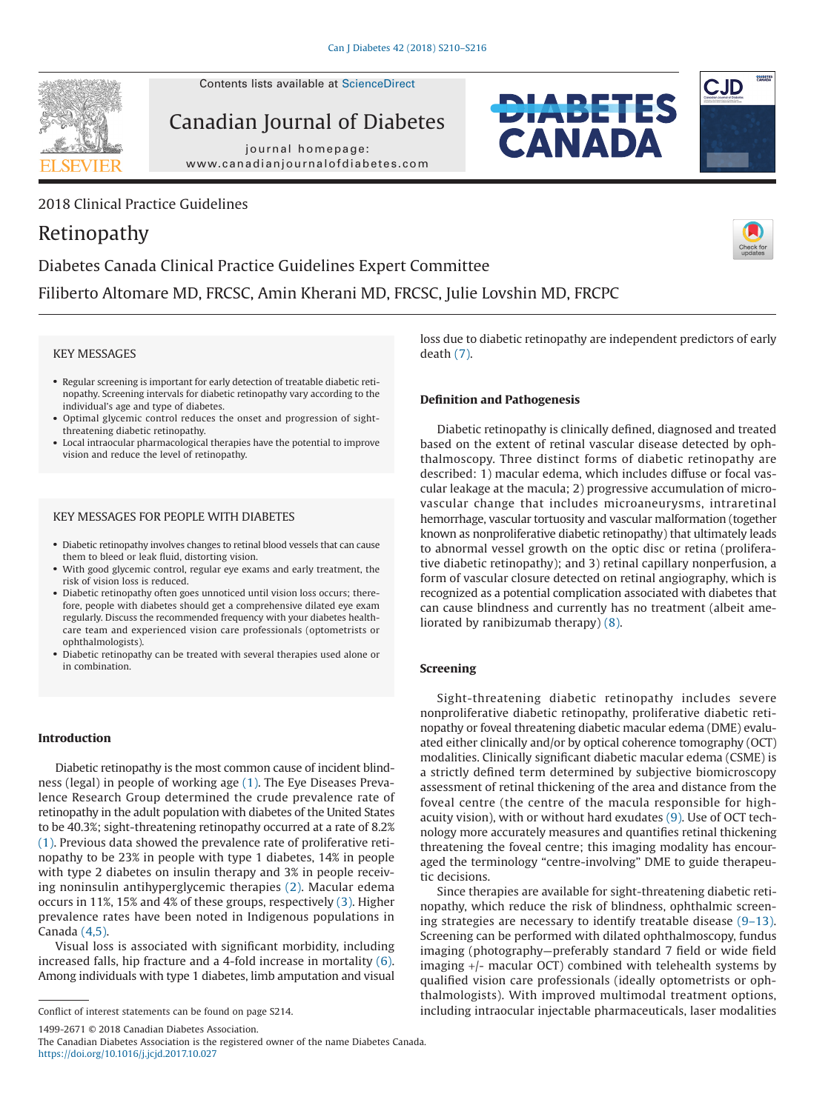

Contents lists available at ScienceDirect

Canadian Journal of Diabetes

journal homepage: www.canadianjournalofdiabetes.com



# Retinopathy





**EXNADA** 

Diabetes Canada Clinical Practice Guidelines Expert Committee Filiberto Altomare MD, FRCSC, Amin Kherani MD, FRCSC, Julie Lovshin MD, FRCPC

### KEY MESSAGES

- Regular screening is important for early detection of treatable diabetic retinopathy. Screening intervals for diabetic retinopathy vary according to the individual's age and type of diabetes.
- Optimal glycemic control reduces the onset and progression of sightthreatening diabetic retinopathy.
- Local intraocular pharmacological therapies have the potential to improve vision and reduce the level of retinopathy.

# KEY MESSAGES FOR PEOPLE WITH DIABETES

- Diabetic retinopathy involves changes to retinal blood vessels that can cause them to bleed or leak fluid, distorting vision.
- With good glycemic control, regular eye exams and early treatment, the risk of vision loss is reduced.
- Diabetic retinopathy often goes unnoticed until vision loss occurs; therefore, people with diabetes should get a comprehensive dilated eye exam regularly. Discuss the recommended frequency with your diabetes healthcare team and experienced vision care professionals (optometrists or ophthalmologists).
- Diabetic retinopathy can be treated with several therapies used alone or in combination.

### **Introduction**

Diabetic retinopathy is the most common cause of incident blindness (legal) in people of working age (1). The Eye Diseases Prevalence Research Group determined the crude prevalence rate of retinopathy in the adult population with diabetes of the United States to be 40.3%; sight-threatening retinopathy occurred at a rate of 8.2% (1). Previous data showed the prevalence rate of proliferative retinopathy to be 23% in people with type 1 diabetes, 14% in people with type 2 diabetes on insulin therapy and 3% in people receiving noninsulin antihyperglycemic therapies (2). Macular edema occurs in 11%, 15% and 4% of these groups, respectively (3). Higher prevalence rates have been noted in Indigenous populations in Canada (4,5).

Visual loss is associated with significant morbidity, including increased falls, hip fracture and a 4-fold increase in mortality (6). Among individuals with type 1 diabetes, limb amputation and visual

1499-2671 © 2018 Canadian Diabetes Association.

The Canadian Diabetes Association is the registered owner of the name Diabetes Canada. https://doi.org/10.1016/j.jcjd.2017.10.027

loss due to diabetic retinopathy are independent predictors of early death (7).

# **Definition and Pathogenesis**

Diabetic retinopathy is clinically defined, diagnosed and treated based on the extent of retinal vascular disease detected by ophthalmoscopy. Three distinct forms of diabetic retinopathy are described: 1) macular edema, which includes diffuse or focal vascular leakage at the macula; 2) progressive accumulation of microvascular change that includes microaneurysms, intraretinal hemorrhage, vascular tortuosity and vascular malformation (together known as nonproliferative diabetic retinopathy) that ultimately leads to abnormal vessel growth on the optic disc or retina (proliferative diabetic retinopathy); and 3) retinal capillary nonperfusion, a form of vascular closure detected on retinal angiography, which is recognized as a potential complication associated with diabetes that can cause blindness and currently has no treatment (albeit ameliorated by ranibizumab therapy) (8).

## **Screening**

Sight-threatening diabetic retinopathy includes severe nonproliferative diabetic retinopathy, proliferative diabetic retinopathy or foveal threatening diabetic macular edema (DME) evaluated either clinically and/or by optical coherence tomography (OCT) modalities. Clinically significant diabetic macular edema (CSME) is a strictly defined term determined by subjective biomicroscopy assessment of retinal thickening of the area and distance from the foveal centre (the centre of the macula responsible for highacuity vision), with or without hard exudates (9). Use of OCT technology more accurately measures and quantifies retinal thickening threatening the foveal centre; this imaging modality has encouraged the terminology "centre-involving" DME to guide therapeutic decisions.

Since therapies are available for sight-threatening diabetic retinopathy, which reduce the risk of blindness, ophthalmic screening strategies are necessary to identify treatable disease (9–13). Screening can be performed with dilated ophthalmoscopy, fundus imaging (photography—preferably standard 7 field or wide field imaging +/- macular OCT) combined with telehealth systems by qualified vision care professionals (ideally optometrists or ophthalmologists). With improved multimodal treatment options, Conflict of interest statements can be found on page S214. including intraocular injectable pharmaceuticals, laser modalities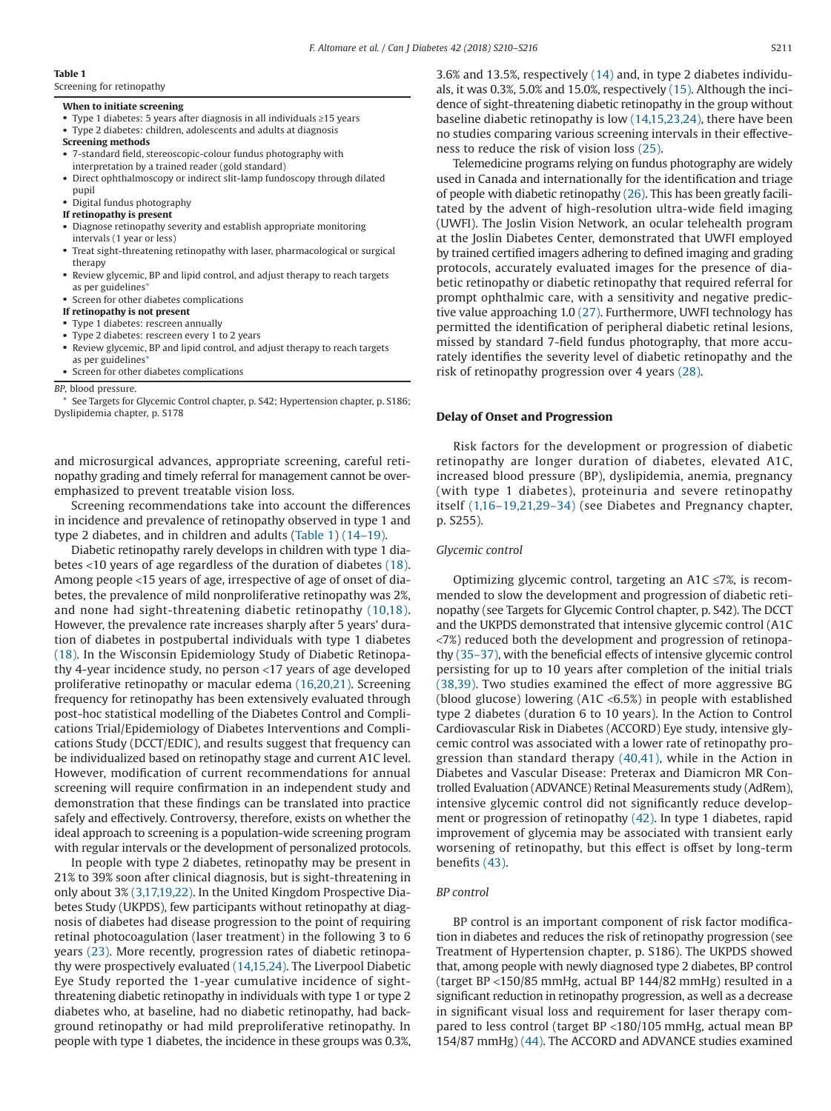### **Table 1**

Screening for retinopathy

### **When to initiate screening**

- Type 1 diabetes: 5 years after diagnosis in all individuals ≥15 years
- Type 2 diabetes: children, adolescents and adults at diagnosis

#### **Screening methods**

- 7-standard field, stereoscopic-colour fundus photography with interpretation by a trained reader (gold standard)
- Direct ophthalmoscopy or indirect slit-lamp fundoscopy through dilated pupil
- Digital fundus photography
- **If retinopathy is present**
- Diagnose retinopathy severity and establish appropriate monitoring intervals (1 year or less)
- Treat sight-threatening retinopathy with laser, pharmacological or surgical therapy
- Review glycemic, BP and lipid control, and adjust therapy to reach targets as per guidelines'
- Screen for other diabetes complications

### **If retinopathy is not present**

- Type 1 diabetes: rescreen annually
- Type 2 diabetes: rescreen every 1 to 2 years
- Review glycemic, BP and lipid control, and adjust therapy to reach targets as per guidelines\*
- Screen for other diabetes complications

*BP*, blood pressure.

See Targets for Glycemic Control chapter, p. S42; Hypertension chapter, p. S186; Dyslipidemia chapter, p. S178

and microsurgical advances, appropriate screening, careful retinopathy grading and timely referral for management cannot be overemphasized to prevent treatable vision loss.

Screening recommendations take into account the differences in incidence and prevalence of retinopathy observed in type 1 and type 2 diabetes, and in children and adults (Table 1) (14–19).

Diabetic retinopathy rarely develops in children with type 1 diabetes <10 years of age regardless of the duration of diabetes (18). Among people <15 years of age, irrespective of age of onset of diabetes, the prevalence of mild nonproliferative retinopathy was 2%, and none had sight-threatening diabetic retinopathy (10,18). However, the prevalence rate increases sharply after 5 years' duration of diabetes in postpubertal individuals with type 1 diabetes (18). In the Wisconsin Epidemiology Study of Diabetic Retinopathy 4-year incidence study, no person <17 years of age developed proliferative retinopathy or macular edema (16,20,21). Screening frequency for retinopathy has been extensively evaluated through post-hoc statistical modelling of the Diabetes Control and Complications Trial/Epidemiology of Diabetes Interventions and Complications Study (DCCT/EDIC), and results suggest that frequency can be individualized based on retinopathy stage and current A1C level. However, modification of current recommendations for annual screening will require confirmation in an independent study and demonstration that these findings can be translated into practice safely and effectively. Controversy, therefore, exists on whether the ideal approach to screening is a population-wide screening program with regular intervals or the development of personalized protocols.

In people with type 2 diabetes, retinopathy may be present in 21% to 39% soon after clinical diagnosis, but is sight-threatening in only about 3% (3,17,19,22). In the United Kingdom Prospective Diabetes Study (UKPDS), few participants without retinopathy at diagnosis of diabetes had disease progression to the point of requiring retinal photocoagulation (laser treatment) in the following 3 to 6 years (23). More recently, progression rates of diabetic retinopathy were prospectively evaluated (14,15,24). The Liverpool Diabetic Eye Study reported the 1-year cumulative incidence of sightthreatening diabetic retinopathy in individuals with type 1 or type 2 diabetes who, at baseline, had no diabetic retinopathy, had background retinopathy or had mild preproliferative retinopathy. In people with type 1 diabetes, the incidence in these groups was 0.3%, 3.6% and 13.5%, respectively (14) and, in type 2 diabetes individuals, it was 0.3%, 5.0% and 15.0%, respectively (15). Although the incidence of sight-threatening diabetic retinopathy in the group without baseline diabetic retinopathy is low (14,15,23,24), there have been no studies comparing various screening intervals in their effectiveness to reduce the risk of vision loss (25).

Telemedicine programs relying on fundus photography are widely used in Canada and internationally for the identification and triage of people with diabetic retinopathy (26). This has been greatly facilitated by the advent of high-resolution ultra-wide field imaging (UWFI). The Joslin Vision Network, an ocular telehealth program at the Joslin Diabetes Center, demonstrated that UWFI employed by trained certified imagers adhering to defined imaging and grading protocols, accurately evaluated images for the presence of diabetic retinopathy or diabetic retinopathy that required referral for prompt ophthalmic care, with a sensitivity and negative predictive value approaching 1.0 (27). Furthermore, UWFI technology has permitted the identification of peripheral diabetic retinal lesions, missed by standard 7-field fundus photography, that more accurately identifies the severity level of diabetic retinopathy and the risk of retinopathy progression over 4 years (28).

### **Delay of Onset and Progression**

Risk factors for the development or progression of diabetic retinopathy are longer duration of diabetes, elevated A1C, increased blood pressure (BP), dyslipidemia, anemia, pregnancy (with type 1 diabetes), proteinuria and severe retinopathy itself (1,16–19,21,29–34) (see Diabetes and Pregnancy chapter, p. S255).

#### *Glycemic control*

Optimizing glycemic control, targeting an  $A1C \le 7\%$ , is recommended to slow the development and progression of diabetic retinopathy (see Targets for Glycemic Control chapter, p. S42). The DCCT and the UKPDS demonstrated that intensive glycemic control (A1C <7%) reduced both the development and progression of retinopathy (35–37), with the beneficial effects of intensive glycemic control persisting for up to 10 years after completion of the initial trials (38,39). Two studies examined the effect of more aggressive BG (blood glucose) lowering (A1C <6.5%) in people with established type 2 diabetes (duration 6 to 10 years). In the Action to Control Cardiovascular Risk in Diabetes (ACCORD) Eye study, intensive glycemic control was associated with a lower rate of retinopathy progression than standard therapy (40,41), while in the Action in Diabetes and Vascular Disease: Preterax and Diamicron MR Controlled Evaluation (ADVANCE) Retinal Measurements study (AdRem), intensive glycemic control did not significantly reduce development or progression of retinopathy (42). In type 1 diabetes, rapid improvement of glycemia may be associated with transient early worsening of retinopathy, but this effect is offset by long-term benefits (43).

### *BP control*

BP control is an important component of risk factor modification in diabetes and reduces the risk of retinopathy progression (see Treatment of Hypertension chapter, p. S186). The UKPDS showed that, among people with newly diagnosed type 2 diabetes, BP control (target BP <150/85 mmHg, actual BP 144/82 mmHg) resulted in a significant reduction in retinopathy progression, as well as a decrease in significant visual loss and requirement for laser therapy compared to less control (target BP <180/105 mmHg, actual mean BP 154/87 mmHg) (44). The ACCORD and ADVANCE studies examined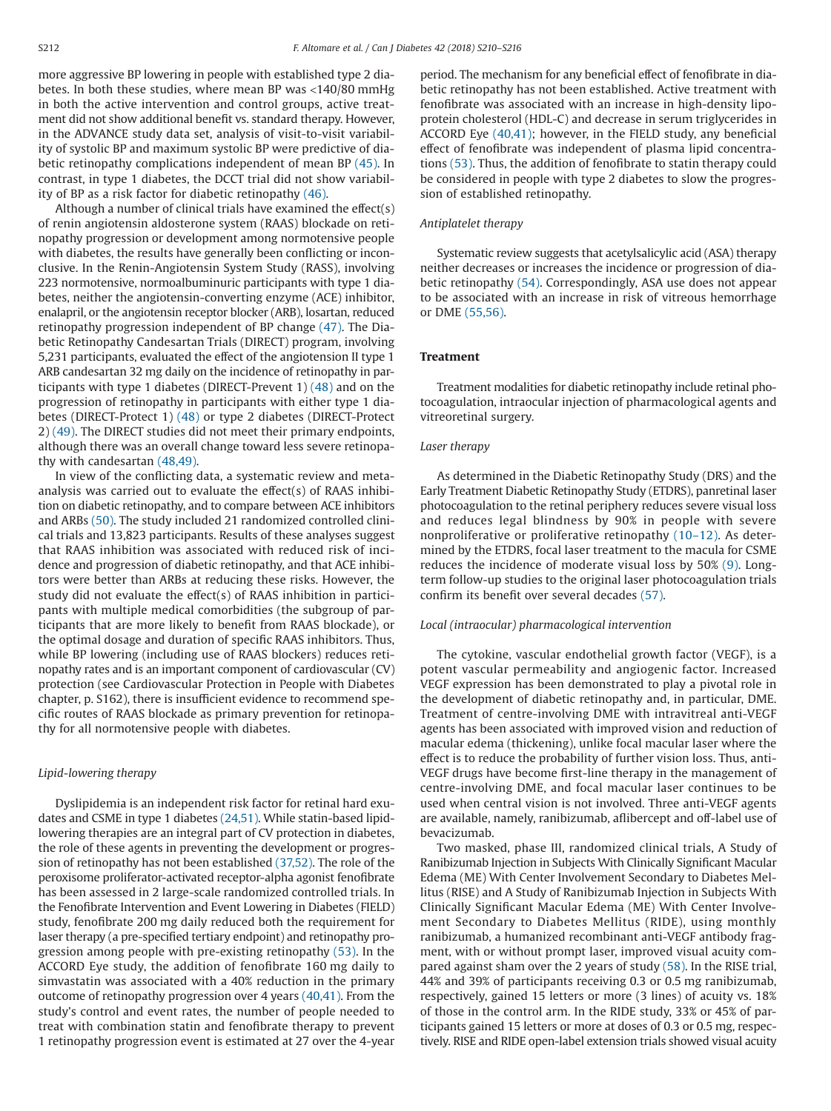more aggressive BP lowering in people with established type 2 diabetes. In both these studies, where mean BP was <140/80 mmHg in both the active intervention and control groups, active treatment did not show additional benefit vs. standard therapy. However, in the ADVANCE study data set, analysis of visit-to-visit variability of systolic BP and maximum systolic BP were predictive of diabetic retinopathy complications independent of mean BP (45). In contrast, in type 1 diabetes, the DCCT trial did not show variability of BP as a risk factor for diabetic retinopathy (46).

Although a number of clinical trials have examined the effect(s) of renin angiotensin aldosterone system (RAAS) blockade on retinopathy progression or development among normotensive people with diabetes, the results have generally been conflicting or inconclusive. In the Renin-Angiotensin System Study (RASS), involving 223 normotensive, normoalbuminuric participants with type 1 diabetes, neither the angiotensin-converting enzyme (ACE) inhibitor, enalapril, or the angiotensin receptor blocker (ARB), losartan, reduced retinopathy progression independent of BP change (47). The Diabetic Retinopathy Candesartan Trials (DIRECT) program, involving 5,231 participants, evaluated the effect of the angiotension II type 1 ARB candesartan 32 mg daily on the incidence of retinopathy in participants with type 1 diabetes (DIRECT-Prevent 1) (48) and on the progression of retinopathy in participants with either type 1 diabetes (DIRECT-Protect 1) (48) or type 2 diabetes (DIRECT-Protect 2) (49). The DIRECT studies did not meet their primary endpoints, although there was an overall change toward less severe retinopathy with candesartan (48,49).

In view of the conflicting data, a systematic review and metaanalysis was carried out to evaluate the effect(s) of RAAS inhibition on diabetic retinopathy, and to compare between ACE inhibitors and ARBs (50). The study included 21 randomized controlled clinical trials and 13,823 participants. Results of these analyses suggest that RAAS inhibition was associated with reduced risk of incidence and progression of diabetic retinopathy, and that ACE inhibitors were better than ARBs at reducing these risks. However, the study did not evaluate the effect(s) of RAAS inhibition in participants with multiple medical comorbidities (the subgroup of participants that are more likely to benefit from RAAS blockade), or the optimal dosage and duration of specific RAAS inhibitors. Thus, while BP lowering (including use of RAAS blockers) reduces retinopathy rates and is an important component of cardiovascular (CV) protection (see Cardiovascular Protection in People with Diabetes chapter, p. S162), there is insufficient evidence to recommend specific routes of RAAS blockade as primary prevention for retinopathy for all normotensive people with diabetes.

# *Lipid-lowering therapy*

Dyslipidemia is an independent risk factor for retinal hard exudates and CSME in type 1 diabetes (24,51). While statin-based lipidlowering therapies are an integral part of CV protection in diabetes, the role of these agents in preventing the development or progression of retinopathy has not been established (37,52). The role of the peroxisome proliferator-activated receptor-alpha agonist fenofibrate has been assessed in 2 large-scale randomized controlled trials. In the Fenofibrate Intervention and Event Lowering in Diabetes (FIELD) study, fenofibrate 200 mg daily reduced both the requirement for laser therapy (a pre-specified tertiary endpoint) and retinopathy progression among people with pre-existing retinopathy (53). In the ACCORD Eye study, the addition of fenofibrate 160 mg daily to simvastatin was associated with a 40% reduction in the primary outcome of retinopathy progression over 4 years (40,41). From the study's control and event rates, the number of people needed to treat with combination statin and fenofibrate therapy to prevent 1 retinopathy progression event is estimated at 27 over the 4-year

period. The mechanism for any beneficial effect of fenofibrate in diabetic retinopathy has not been established. Active treatment with fenofibrate was associated with an increase in high-density lipoprotein cholesterol (HDL-C) and decrease in serum triglycerides in ACCORD Eye (40,41); however, in the FIELD study, any beneficial effect of fenofibrate was independent of plasma lipid concentrations (53). Thus, the addition of fenofibrate to statin therapy could be considered in people with type 2 diabetes to slow the progression of established retinopathy.

### *Antiplatelet therapy*

Systematic review suggests that acetylsalicylic acid (ASA) therapy neither decreases or increases the incidence or progression of diabetic retinopathy (54). Correspondingly, ASA use does not appear to be associated with an increase in risk of vitreous hemorrhage or DME (55,56).

### **Treatment**

Treatment modalities for diabetic retinopathy include retinal photocoagulation, intraocular injection of pharmacological agents and vitreoretinal surgery.

### *Laser therapy*

As determined in the Diabetic Retinopathy Study (DRS) and the Early Treatment Diabetic Retinopathy Study (ETDRS), panretinal laser photocoagulation to the retinal periphery reduces severe visual loss and reduces legal blindness by 90% in people with severe nonproliferative or proliferative retinopathy (10–12). As determined by the ETDRS, focal laser treatment to the macula for CSME reduces the incidence of moderate visual loss by 50% (9). Longterm follow-up studies to the original laser photocoagulation trials confirm its benefit over several decades (57).

### *Local (intraocular) pharmacological intervention*

The cytokine, vascular endothelial growth factor (VEGF), is a potent vascular permeability and angiogenic factor. Increased VEGF expression has been demonstrated to play a pivotal role in the development of diabetic retinopathy and, in particular, DME. Treatment of centre-involving DME with intravitreal anti-VEGF agents has been associated with improved vision and reduction of macular edema (thickening), unlike focal macular laser where the effect is to reduce the probability of further vision loss. Thus, anti-VEGF drugs have become first-line therapy in the management of centre-involving DME, and focal macular laser continues to be used when central vision is not involved. Three anti-VEGF agents are available, namely, ranibizumab, aflibercept and off-label use of bevacizumab.

Two masked, phase III, randomized clinical trials, A Study of Ranibizumab Injection in Subjects With Clinically Significant Macular Edema (ME) With Center Involvement Secondary to Diabetes Mellitus (RISE) and A Study of Ranibizumab Injection in Subjects With Clinically Significant Macular Edema (ME) With Center Involvement Secondary to Diabetes Mellitus (RIDE), using monthly ranibizumab, a humanized recombinant anti-VEGF antibody fragment, with or without prompt laser, improved visual acuity compared against sham over the 2 years of study (58). In the RISE trial, 44% and 39% of participants receiving 0.3 or 0.5 mg ranibizumab, respectively, gained 15 letters or more (3 lines) of acuity vs. 18% of those in the control arm. In the RIDE study, 33% or 45% of participants gained 15 letters or more at doses of 0.3 or 0.5 mg, respectively. RISE and RIDE open-label extension trials showed visual acuity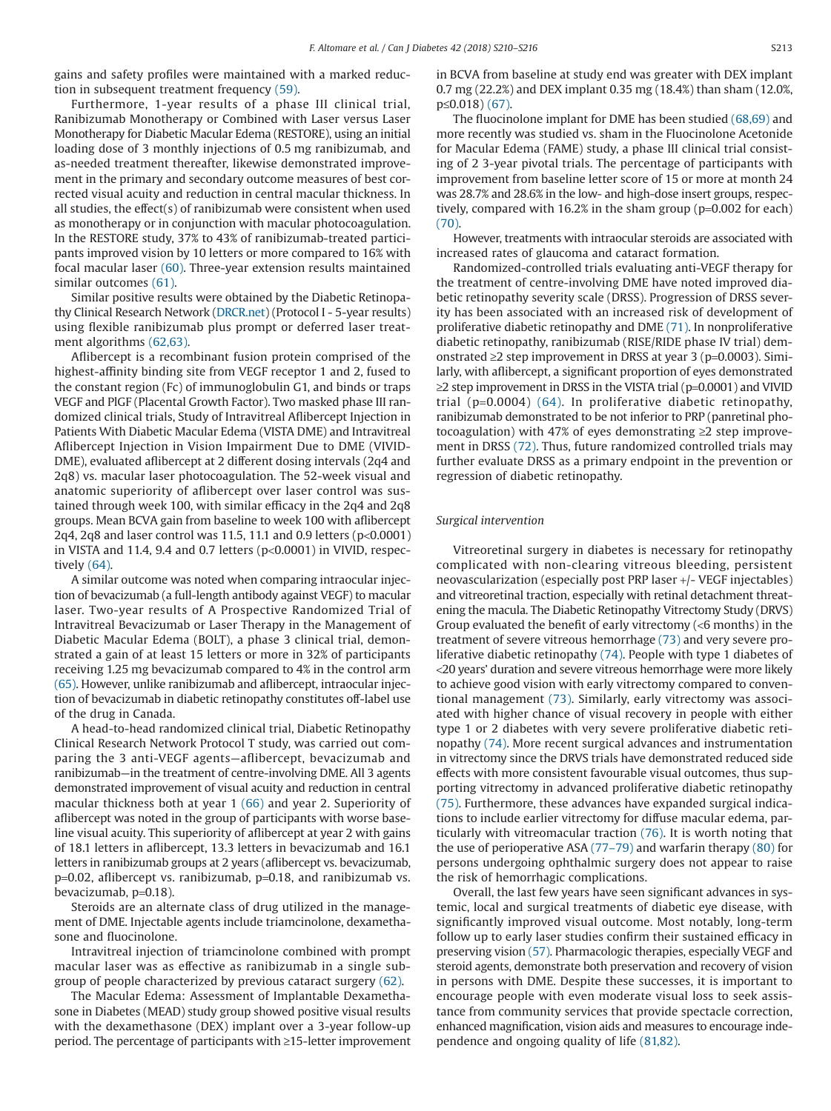gains and safety profiles were maintained with a marked reduction in subsequent treatment frequency (59).

Furthermore, 1-year results of a phase III clinical trial, Ranibizumab Monotherapy or Combined with Laser versus Laser Monotherapy for Diabetic Macular Edema (RESTORE), using an initial loading dose of 3 monthly injections of 0.5 mg ranibizumab, and as-needed treatment thereafter, likewise demonstrated improvement in the primary and secondary outcome measures of best corrected visual acuity and reduction in central macular thickness. In all studies, the effect(s) of ranibizumab were consistent when used as monotherapy or in conjunction with macular photocoagulation. In the RESTORE study, 37% to 43% of ranibizumab-treated participants improved vision by 10 letters or more compared to 16% with focal macular laser (60). Three-year extension results maintained similar outcomes (61).

Similar positive results were obtained by the Diabetic Retinopathy Clinical Research Network (DRCR.net) (Protocol I - 5-year results) using flexible ranibizumab plus prompt or deferred laser treatment algorithms (62,63).

Aflibercept is a recombinant fusion protein comprised of the highest-affinity binding site from VEGF receptor 1 and 2, fused to the constant region (Fc) of immunoglobulin G1, and binds or traps VEGF and PlGF (Placental Growth Factor). Two masked phase III randomized clinical trials, Study of Intravitreal Aflibercept Injection in Patients With Diabetic Macular Edema (VISTA DME) and Intravitreal Aflibercept Injection in Vision Impairment Due to DME (VIVID-DME), evaluated aflibercept at 2 different dosing intervals (2q4 and 2q8) vs. macular laser photocoagulation. The 52-week visual and anatomic superiority of aflibercept over laser control was sustained through week 100, with similar efficacy in the 2q4 and 2q8 groups. Mean BCVA gain from baseline to week 100 with aflibercept 2q4, 2q8 and laser control was 11.5, 11.1 and 0.9 letters (p<0.0001) in VISTA and 11.4, 9.4 and 0.7 letters  $(p<0.0001)$  in VIVID, respectively (64).

A similar outcome was noted when comparing intraocular injection of bevacizumab (a full-length antibody against VEGF) to macular laser. Two-year results of A Prospective Randomized Trial of Intravitreal Bevacizumab or Laser Therapy in the Management of Diabetic Macular Edema (BOLT), a phase 3 clinical trial, demonstrated a gain of at least 15 letters or more in 32% of participants receiving 1.25 mg bevacizumab compared to 4% in the control arm (65). However, unlike ranibizumab and aflibercept, intraocular injection of bevacizumab in diabetic retinopathy constitutes off-label use of the drug in Canada.

A head-to-head randomized clinical trial, Diabetic Retinopathy Clinical Research Network Protocol T study, was carried out comparing the 3 anti-VEGF agents—aflibercept, bevacizumab and ranibizumab—in the treatment of centre-involving DME. All 3 agents demonstrated improvement of visual acuity and reduction in central macular thickness both at year 1 (66) and year 2. Superiority of aflibercept was noted in the group of participants with worse baseline visual acuity. This superiority of aflibercept at year 2 with gains of 18.1 letters in aflibercept, 13.3 letters in bevacizumab and 16.1 letters in ranibizumab groups at 2 years (aflibercept vs. bevacizumab, p=0.02, aflibercept vs. ranibizumab, p=0.18, and ranibizumab vs. bevacizumab, p=0.18).

Steroids are an alternate class of drug utilized in the management of DME. Injectable agents include triamcinolone, dexamethasone and fluocinolone.

Intravitreal injection of triamcinolone combined with prompt macular laser was as effective as ranibizumab in a single subgroup of people characterized by previous cataract surgery (62).

The Macular Edema: Assessment of Implantable Dexamethasone in Diabetes (MEAD) study group showed positive visual results with the dexamethasone (DEX) implant over a 3-year follow-up period. The percentage of participants with ≥15-letter improvement in BCVA from baseline at study end was greater with DEX implant 0.7 mg (22.2%) and DEX implant 0.35 mg (18.4%) than sham (12.0%, p≤0.018) (67).

The fluocinolone implant for DME has been studied (68,69) and more recently was studied vs. sham in the Fluocinolone Acetonide for Macular Edema (FAME) study, a phase III clinical trial consisting of 2 3-year pivotal trials. The percentage of participants with improvement from baseline letter score of 15 or more at month 24 was 28.7% and 28.6% in the low- and high-dose insert groups, respectively, compared with 16.2% in the sham group (p=0.002 for each) (70).

However, treatments with intraocular steroids are associated with increased rates of glaucoma and cataract formation.

Randomized-controlled trials evaluating anti-VEGF therapy for the treatment of centre-involving DME have noted improved diabetic retinopathy severity scale (DRSS). Progression of DRSS severity has been associated with an increased risk of development of proliferative diabetic retinopathy and DME (71). In nonproliferative diabetic retinopathy, ranibizumab (RISE/RIDE phase IV trial) demonstrated ≥2 step improvement in DRSS at year 3 ( $p=0.0003$ ). Similarly, with aflibercept, a significant proportion of eyes demonstrated  $\geq$ 2 step improvement in DRSS in the VISTA trial (p=0.0001) and VIVID trial (p=0.0004) (64). In proliferative diabetic retinopathy, ranibizumab demonstrated to be not inferior to PRP (panretinal photocoagulation) with 47% of eyes demonstrating ≥2 step improvement in DRSS (72). Thus, future randomized controlled trials may further evaluate DRSS as a primary endpoint in the prevention or regression of diabetic retinopathy.

### *Surgical intervention*

Vitreoretinal surgery in diabetes is necessary for retinopathy complicated with non-clearing vitreous bleeding, persistent neovascularization (especially post PRP laser +/- VEGF injectables) and vitreoretinal traction, especially with retinal detachment threatening the macula. The Diabetic Retinopathy Vitrectomy Study (DRVS) Group evaluated the benefit of early vitrectomy (<6 months) in the treatment of severe vitreous hemorrhage (73) and very severe proliferative diabetic retinopathy (74). People with type 1 diabetes of <20 years' duration and severe vitreous hemorrhage were more likely to achieve good vision with early vitrectomy compared to conventional management (73). Similarly, early vitrectomy was associated with higher chance of visual recovery in people with either type 1 or 2 diabetes with very severe proliferative diabetic retinopathy (74). More recent surgical advances and instrumentation in vitrectomy since the DRVS trials have demonstrated reduced side effects with more consistent favourable visual outcomes, thus supporting vitrectomy in advanced proliferative diabetic retinopathy (75). Furthermore, these advances have expanded surgical indications to include earlier vitrectomy for diffuse macular edema, particularly with vitreomacular traction (76). It is worth noting that the use of perioperative ASA (77–79) and warfarin therapy (80) for persons undergoing ophthalmic surgery does not appear to raise the risk of hemorrhagic complications.

Overall, the last few years have seen significant advances in systemic, local and surgical treatments of diabetic eye disease, with significantly improved visual outcome. Most notably, long-term follow up to early laser studies confirm their sustained efficacy in preserving vision (57). Pharmacologic therapies, especially VEGF and steroid agents, demonstrate both preservation and recovery of vision in persons with DME. Despite these successes, it is important to encourage people with even moderate visual loss to seek assistance from community services that provide spectacle correction, enhanced magnification, vision aids and measures to encourage independence and ongoing quality of life (81,82).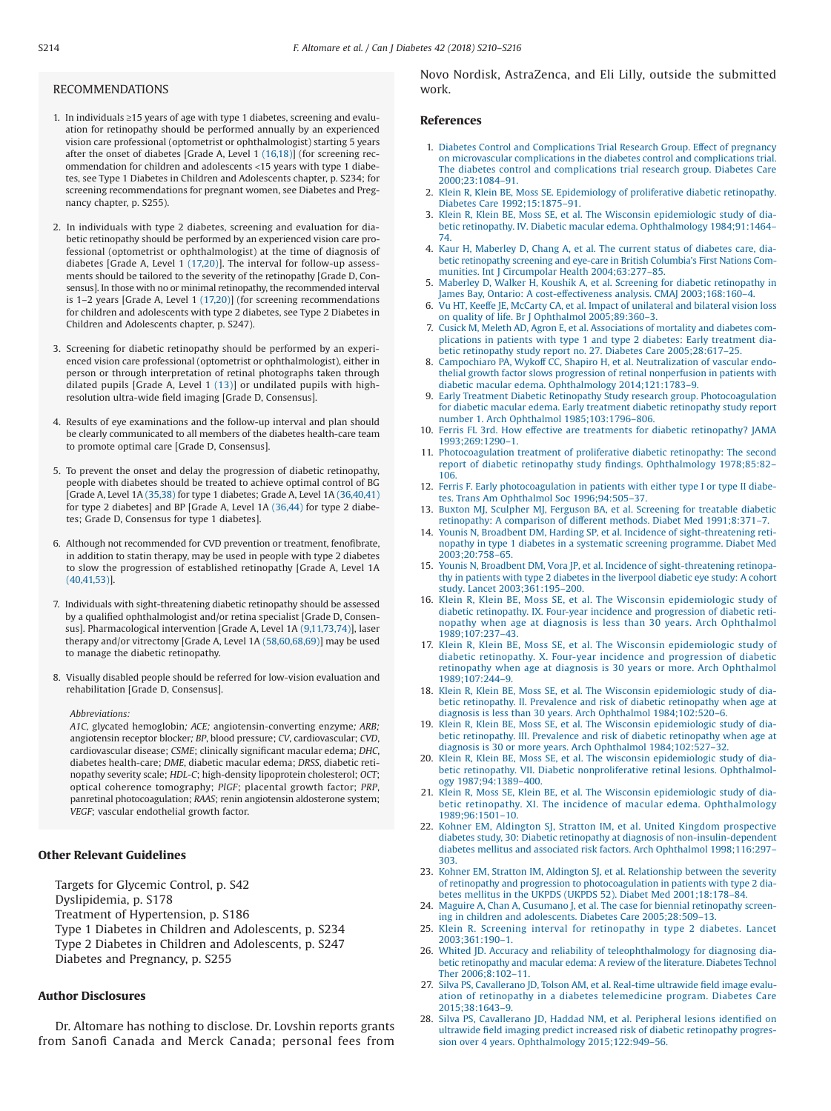### RECOMMENDATIONS

- 1. In individuals ≥15 years of age with type 1 diabetes, screening and evaluation for retinopathy should be performed annually by an experienced vision care professional (optometrist or ophthalmologist) starting 5 years after the onset of diabetes [Grade A, Level 1 (16,18)] (for screening recommendation for children and adolescents <15 years with type 1 diabetes, see Type 1 Diabetes in Children and Adolescents chapter, p. S234; for screening recommendations for pregnant women, see Diabetes and Pregnancy chapter, p. S255).
- 2. In individuals with type 2 diabetes, screening and evaluation for diabetic retinopathy should be performed by an experienced vision care professional (optometrist or ophthalmologist) at the time of diagnosis of diabetes [Grade A, Level 1 (17,20)]. The interval for follow-up assessments should be tailored to the severity of the retinopathy [Grade D, Consensus]. In those with no or minimal retinopathy, the recommended interval is 1–2 years [Grade A, Level 1 (17,20)] (for screening recommendations for children and adolescents with type 2 diabetes, see Type 2 Diabetes in Children and Adolescents chapter, p. S247).
- 3. Screening for diabetic retinopathy should be performed by an experienced vision care professional (optometrist or ophthalmologist), either in person or through interpretation of retinal photographs taken through dilated pupils [Grade A, Level 1 (13)] or undilated pupils with highresolution ultra-wide field imaging [Grade D, Consensus].
- 4. Results of eye examinations and the follow-up interval and plan should be clearly communicated to all members of the diabetes health-care team to promote optimal care [Grade D, Consensus].
- 5. To prevent the onset and delay the progression of diabetic retinopathy, people with diabetes should be treated to achieve optimal control of BG [Grade A, Level 1A (35,38) for type 1 diabetes; Grade A, Level 1A (36,40,41) for type 2 diabetes] and BP [Grade A, Level 1A (36,44) for type 2 diabetes; Grade D, Consensus for type 1 diabetes].
- 6. Although not recommended for CVD prevention or treatment, fenofibrate, in addition to statin therapy, may be used in people with type 2 diabetes to slow the progression of established retinopathy [Grade A, Level 1A (40,41,53)].
- 7. Individuals with sight-threatening diabetic retinopathy should be assessed by a qualified ophthalmologist and/or retina specialist [Grade D, Consensus]. Pharmacological intervention [Grade A, Level 1A (9,11,73,74)], laser therapy and/or vitrectomy [Grade A, Level 1A (58,60,68,69)] may be used to manage the diabetic retinopathy.
- 8. Visually disabled people should be referred for low-vision evaluation and rehabilitation [Grade D, Consensus].

#### *Abbreviations:*

*A1C,* glycated hemoglobin*; ACE;* angiotensin-converting enzyme*; ARB;* angiotensin receptor blocker*; BP*, blood pressure; *CV*, cardiovascular; *CVD*, cardiovascular disease; *CSME*; clinically significant macular edema; *DHC*, diabetes health-care; *DME*, diabetic macular edema; *DRSS*, diabetic retinopathy severity scale; *HDL-C*; high-density lipoprotein cholesterol; *OCT*; optical coherence tomography; *PlGF*; placental growth factor; *PRP*, panretinal photocoagulation; *RAAS*; renin angiotensin aldosterone system; *VEGF*; vascular endothelial growth factor.

# **Other Relevant Guidelines**

Targets for Glycemic Control, p. S42

Dyslipidemia, p. S178

Treatment of Hypertension, p. S186

Type 1 Diabetes in Children and Adolescents, p. S234

Type 2 Diabetes in Children and Adolescents, p. S247

Diabetes and Pregnancy, p. S255

# **Author Disclosures**

Dr. Altomare has nothing to disclose. Dr. Lovshin reports grants from Sanofi Canada and Merck Canada; personal fees from Novo Nordisk, AstraZenca, and Eli Lilly, outside the submitted work.

# **References**

- 1. Diabetes Control and Complications Trial Research Group. Effect of pregnancy on microvascular complications in the diabetes control and complications trial. The diabetes control and complications trial research group. Diabetes Care 2000;23:1084–91.
- 2. Klein R, Klein BE, Moss SE. Epidemiology of proliferative diabetic retinopathy. Diabetes Care 1992;15:1875–91.
- 3. Klein R, Klein BE, Moss SE, et al. The Wisconsin epidemiologic study of diabetic retinopathy. IV. Diabetic macular edema. Ophthalmology 1984;91:1464– 74.
- 4. Kaur H, Maberley D, Chang A, et al. The current status of diabetes care, diabetic retinopathy screening and eye-care in British Columbia's First Nations Communities. Int J Circumpolar Health 2004;63:277–85.
- 5. Maberley D, Walker H, Koushik A, et al. Screening for diabetic retinopathy in James Bay, Ontario: A cost-effectiveness analysis. CMAJ 2003;168:160–4.
- 6. Vu HT, Keeffe JE, McCarty CA, et al. Impact of unilateral and bilateral vision loss on quality of life. Br J Ophthalmol 2005;89:360–3.
- 7. Cusick M, Meleth AD, Agron E, et al. Associations of mortality and diabetes complications in patients with type 1 and type 2 diabetes: Early treatment diabetic retinopathy study report no. 27. Diabetes Care 2005;28:617–25.
- 8. Campochiaro PA, Wykoff CC, Shapiro H, et al. Neutralization of vascular endothelial growth factor slows progression of retinal nonperfusion in patients with diabetic macular edema. Ophthalmology 2014;121:1783–9.
- 9. Early Treatment Diabetic Retinopathy Study research group. Photocoagulation for diabetic macular edema. Early treatment diabetic retinopathy study report number 1. Arch Ophthalmol 1985;103:1796–806.
- 10. Ferris FL 3rd. How effective are treatments for diabetic retinopathy? JAMA 1993;269:1290–1.
- 11. Photocoagulation treatment of proliferative diabetic retinopathy: The second report of diabetic retinopathy study findings. Ophthalmology 1978;85:82– 106.
- 12. Ferris F. Early photocoagulation in patients with either type I or type II diabetes. Trans Am Ophthalmol Soc 1996;94:505–37.
- 13. Buxton MJ, Sculpher MJ, Ferguson BA, et al. Screening for treatable diabetic retinopathy: A comparison of different methods. Diabet Med 1991;8:371–7.
- 14. Younis N, Broadbent DM, Harding SP, et al. Incidence of sight-threatening retinopathy in type 1 diabetes in a systematic screening programme. Diabet Med 2003;20:758–65.
- 15. Younis N, Broadbent DM, Vora JP, et al. Incidence of sight-threatening retinopathy in patients with type 2 diabetes in the liverpool diabetic eye study: A cohort study. Lancet 2003;361:195–200.
- 16. Klein R, Klein BE, Moss SE, et al. The Wisconsin epidemiologic study of diabetic retinopathy. IX. Four-year incidence and progression of diabetic retinopathy when age at diagnosis is less than 30 years. Arch Ophthalmol 1989;107:237–43.
- 17. Klein R, Klein BE, Moss SE, et al. The Wisconsin epidemiologic study of diabetic retinopathy. X. Four-year incidence and progression of diabetic retinopathy when age at diagnosis is 30 years or more. Arch Ophthalmol 1989;107:244–9.
- 18. Klein R, Klein BE, Moss SE, et al. The Wisconsin epidemiologic study of diabetic retinopathy. II. Prevalence and risk of diabetic retinopathy when age at diagnosis is less than 30 years. Arch Ophthalmol 1984;102:520–6.
- 19. Klein R, Klein BE, Moss SE, et al. The Wisconsin epidemiologic study of diabetic retinopathy. III. Prevalence and risk of diabetic retinopathy when age at diagnosis is 30 or more years. Arch Ophthalmol 1984;102:527–32.
- 20. Klein R, Klein BE, Moss SE, et al. The wisconsin epidemiologic study of diabetic retinopathy. VII. Diabetic nonproliferative retinal lesions. Ophthalmology 1987;94:1389–400.
- 21. Klein R, Moss SE, Klein BE, et al. The Wisconsin epidemiologic study of diabetic retinopathy. XI. The incidence of macular edema. Ophthalmology 1989;96:1501–10.
- 22. Kohner EM, Aldington SJ, Stratton IM, et al. United Kingdom prospective diabetes study, 30: Diabetic retinopathy at diagnosis of non-insulin-dependent diabetes mellitus and associated risk factors. Arch Ophthalmol 1998;116:297– 303.
- 23. Kohner EM, Stratton IM, Aldington SJ, et al. Relationship between the severity of retinopathy and progression to photocoagulation in patients with type 2 diabetes mellitus in the UKPDS (UKPDS 52). Diabet Med 2001;18:178–84.
- 24. Maguire A, Chan A, Cusumano J, et al. The case for biennial retinopathy screening in children and adolescents. Diabetes Care 2005;28:509–13.
- 25. Klein R. Screening interval for retinopathy in type 2 diabetes. Lancet 2003;361:190–1.
- 26. Whited JD. Accuracy and reliability of teleophthalmology for diagnosing diabetic retinopathy and macular edema: A review of the literature. Diabetes Technol Ther 2006;8:102–11.
- 27. Silva PS, Cavallerano JD, Tolson AM, et al. Real-time ultrawide field image evaluation of retinopathy in a diabetes telemedicine program. Diabetes Care 2015;38:1643–9.
- 28. Silva PS, Cavallerano JD, Haddad NM, et al. Peripheral lesions identified on ultrawide field imaging predict increased risk of diabetic retinopathy progression over 4 years. Ophthalmology 2015;122:949–56.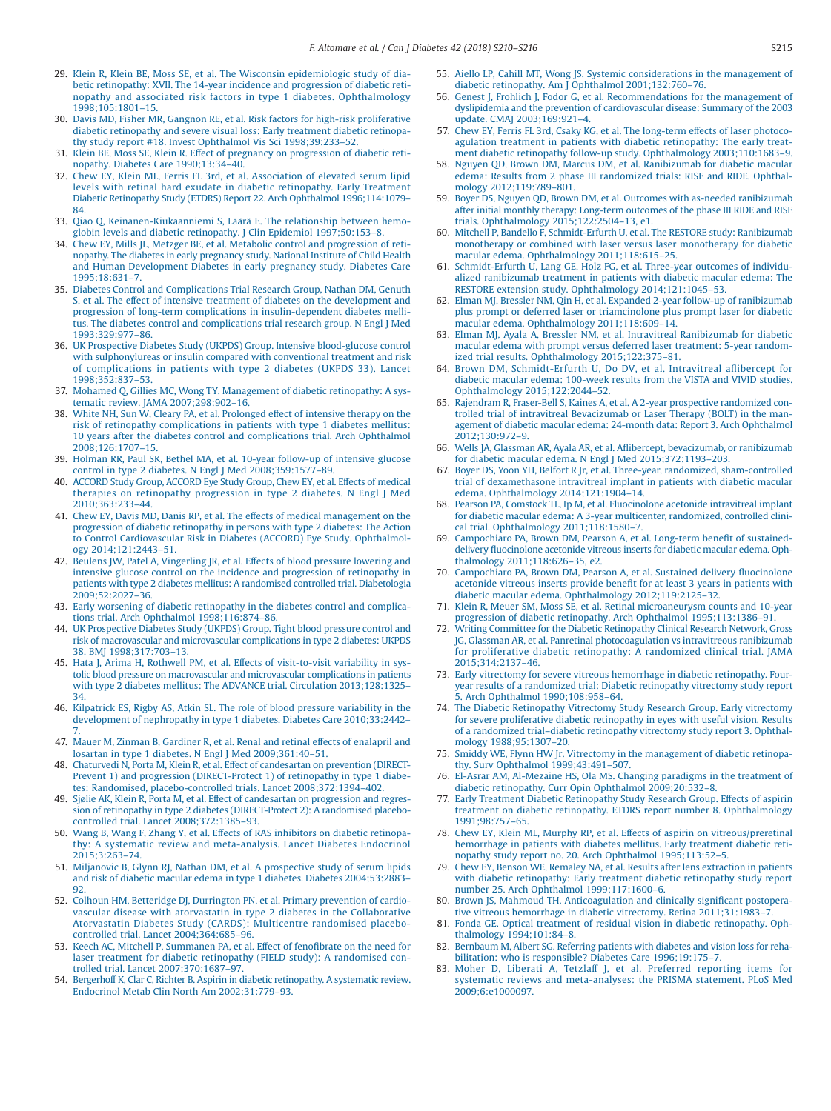- 29. Klein R, Klein BE, Moss SE, et al. The Wisconsin epidemiologic study of diabetic retinopathy: XVII. The 14-year incidence and progression of diabetic retinopathy and associated risk factors in type 1 diabetes. Ophthalmology 1998;105:1801–15.
- 30. Davis MD, Fisher MR, Gangnon RE, et al. Risk factors for high-risk proliferative diabetic retinopathy and severe visual loss: Early treatment diabetic retinopathy study report #18. Invest Ophthalmol Vis Sci 1998;39:233–52.
- 31. Klein BE, Moss SE, Klein R. Effect of pregnancy on progression of diabetic retinopathy. Diabetes Care 1990;13:34–40.
- 32. Chew EY, Klein ML, Ferris FL 3rd, et al. Association of elevated serum lipid levels with retinal hard exudate in diabetic retinopathy. Early Treatment Diabetic Retinopathy Study (ETDRS) Report 22. Arch Ophthalmol 1996;114:1079– 84.
- 33. Qiao Q, Keinanen-Kiukaanniemi S, Läärä E. The relationship between hemoglobin levels and diabetic retinopathy. J Clin Epidemiol 1997;50:153–8.
- 34. Chew EY, Mills JL, Metzger BE, et al. Metabolic control and progression of retinopathy. The diabetes in early pregnancy study. National Institute of Child Health and Human Development Diabetes in early pregnancy study. Diabetes Care 1995;18:631–7.
- 35. Diabetes Control and Complications Trial Research Group, Nathan DM, Genuth S, et al. The effect of intensive treatment of diabetes on the development and progression of long-term complications in insulin-dependent diabetes mellitus. The diabetes control and complications trial research group. N Engl J Med 1993;329:977–86.
- 36. UK Prospective Diabetes Study (UKPDS) Group. Intensive blood-glucose control with sulphonylureas or insulin compared with conventional treatment and risk of complications in patients with type 2 diabetes (UKPDS 33). Lancet 1998;352:837–53.
- 37. Mohamed Q, Gillies MC, Wong TY. Management of diabetic retinopathy: A systematic review. JAMA 2007;298:902–16.
- 38. White NH, Sun W, Cleary PA, et al. Prolonged effect of intensive therapy on the risk of retinopathy complications in patients with type 1 diabetes mellitus: 10 years after the diabetes control and complications trial. Arch Ophthalmol 2008;126:1707–15.
- 39. Holman RR, Paul SK, Bethel MA, et al. 10-year follow-up of intensive glucose control in type 2 diabetes. N Engl J Med 2008;359:1577–89.
- 40. ACCORD Study Group, ACCORD Eye Study Group, Chew EY, et al. Effects of medical therapies on retinopathy progression in type 2 diabetes. N Engl J Med 2010;363:233–44.
- 41. Chew EY, Davis MD, Danis RP, et al. The effects of medical management on the progression of diabetic retinopathy in persons with type 2 diabetes: The Action to Control Cardiovascular Risk in Diabetes (ACCORD) Eye Study. Ophthalmology 2014;121:2443–51.
- 42. Beulens JW, Patel A, Vingerling JR, et al. Effects of blood pressure lowering and intensive glucose control on the incidence and progression of retinopathy in patients with type 2 diabetes mellitus: A randomised controlled trial. Diabetologia 2009;52:2027–36.
- 43. Early worsening of diabetic retinopathy in the diabetes control and complications trial. Arch Ophthalmol 1998;116:874–86.
- 44. UK Prospective Diabetes Study (UKPDS) Group. Tight blood pressure control and risk of macrovascular and microvascular complications in type 2 diabetes: UKPDS 38. BMJ 1998;317:703–13.
- 45. Hata J, Arima H, Rothwell PM, et al. Effects of visit-to-visit variability in systolic blood pressure on macrovascular and microvascular complications in patients with type 2 diabetes mellitus: The ADVANCE trial. Circulation 2013;128:1325– 34.
- 46. Kilpatrick ES, Rigby AS, Atkin SL. The role of blood pressure variability in the development of nephropathy in type 1 diabetes. Diabetes Care 2010;33:2442– 7.
- 47. Mauer M, Zinman B, Gardiner R, et al. Renal and retinal effects of enalapril and losartan in type 1 diabetes. N Engl J Med 2009;361:40–51.
- 48. Chaturvedi N, Porta M, Klein R, et al. Effect of candesartan on prevention (DIRECT-Prevent 1) and progression (DIRECT-Protect 1) of retinopathy in type 1 diabetes: Randomised, placebo-controlled trials. Lancet 2008;372:1394–402.
- 49. Sjølie AK, Klein R, Porta M, et al. Effect of candesartan on progression and regression of retinopathy in type 2 diabetes (DIRECT-Protect 2): A randomised placebocontrolled trial. Lancet 2008;372:1385–93.
- 50. Wang B, Wang F, Zhang Y, et al. Effects of RAS inhibitors on diabetic retinopathy: A systematic review and meta-analysis. Lancet Diabetes Endocrinol 2015;3:263–74.
- 51. Miljanovic B, Glynn RJ, Nathan DM, et al. A prospective study of serum lipids and risk of diabetic macular edema in type 1 diabetes. Diabetes 2004;53:2883– 92.
- 52. Colhoun HM, Betteridge DJ, Durrington PN, et al. Primary prevention of cardiovascular disease with atorvastatin in type 2 diabetes in the Collaborative Atorvastatin Diabetes Study (CARDS): Multicentre randomised placebocontrolled trial. Lancet 2004;364:685–96.
- 53. Keech AC, Mitchell P, Summanen PA, et al. Effect of fenofibrate on the need for laser treatment for diabetic retinopathy (FIELD study): A randomised controlled trial. Lancet 2007;370:1687–97.
- 54. Bergerhoff K, Clar C, Richter B. Aspirin in diabetic retinopathy. A systematic review. Endocrinol Metab Clin North Am 2002;31:779–93.
- 55. Aiello LP, Cahill MT, Wong JS. Systemic considerations in the management of diabetic retinopathy. Am J Ophthalmol 2001;132:760–76.
- 56. Genest J, Frohlich J, Fodor G, et al. Recommendations for the management of dyslipidemia and the prevention of cardiovascular disease: Summary of the 2003 update. CMAJ 2003;169:921–4.
- 57. Chew EY, Ferris FL 3rd, Csaky KG, et al. The long-term effects of laser photocoagulation treatment in patients with diabetic retinopathy: The early treatment diabetic retinopathy follow-up study. Ophthalmology 2003;110:1683–9.
- 58. Nguyen QD, Brown DM, Marcus DM, et al. Ranibizumab for diabetic macular edema: Results from 2 phase III randomized trials: RISE and RIDE. Ophthalmology 2012;119:789–801.
- 59. Boyer DS, Nguyen QD, Brown DM, et al. Outcomes with as-needed ranibizumab after initial monthly therapy: Long-term outcomes of the phase III RIDE and RISE trials. Ophthalmology 2015;122:2504–13, e1.
- 60. Mitchell P, Bandello F, Schmidt-Erfurth U, et al. The RESTORE study: Ranibizumab monotherapy or combined with laser versus laser monotherapy for diabetic macular edema. Ophthalmology 2011;118:615–25.
- 61. Schmidt-Erfurth U, Lang GE, Holz FG, et al. Three-year outcomes of individualized ranibizumab treatment in patients with diabetic macular edema: The RESTORE extension study. Ophthalmology 2014;121:1045–53.
- 62. Elman MJ, Bressler NM, Qin H, et al. Expanded 2-year follow-up of ranibizumab plus prompt or deferred laser or triamcinolone plus prompt laser for diabetic macular edema. Ophthalmology 2011;118:609–14.
- 63. Elman MJ, Ayala A, Bressler NM, et al. Intravitreal Ranibizumab for diabetic macular edema with prompt versus deferred laser treatment: 5-year randomized trial results. Ophthalmology 2015;122:375–81.
- 64. Brown DM, Schmidt-Erfurth U, Do DV, et al. Intravitreal aflibercept for diabetic macular edema: 100-week results from the VISTA and VIVID studies. Ophthalmology 2015;122:2044–52.
- 65. Rajendram R, Fraser-Bell S, Kaines A, et al. A 2-year prospective randomized controlled trial of intravitreal Bevacizumab or Laser Therapy (BOLT) in the management of diabetic macular edema: 24-month data: Report 3. Arch Ophthalmol 2012;130:972–9.
- 66. Wells JA, Glassman AR, Ayala AR, et al. Aflibercept, bevacizumab, or ranibizumab for diabetic macular edema. N Engl J Med 2015;372:1193–203.
- 67. Boyer DS, Yoon YH, Belfort R Jr, et al. Three-year, randomized, sham-controlled trial of dexamethasone intravitreal implant in patients with diabetic macular edema. Ophthalmology 2014;121:1904–14.
- 68. Pearson PA, Comstock TL, Ip M, et al. Fluocinolone acetonide intravitreal implant for diabetic macular edema: A 3-year multicenter, randomized, controlled clinical trial. Ophthalmology 2011;118:1580–7.
- 69. Campochiaro PA, Brown DM, Pearson A, et al. Long-term benefit of sustaineddelivery fluocinolone acetonide vitreous inserts for diabetic macular edema. Ophthalmology 2011;118:626–35, e2.
- 70. Campochiaro PA, Brown DM, Pearson A, et al. Sustained delivery fluocinolone acetonide vitreous inserts provide benefit for at least 3 years in patients with diabetic macular edema. Ophthalmology 2012;119:2125–32.
- 71. Klein R, Meuer SM, Moss SE, et al. Retinal microaneurysm counts and 10-year progression of diabetic retinopathy. Arch Ophthalmol 1995;113:1386–91.
- 72. Writing Committee for the Diabetic Retinopathy Clinical Research Network, Gross JG, Glassman AR, et al. Panretinal photocoagulation vs intravitreous ranibizumab for proliferative diabetic retinopathy: A randomized clinical trial. JAMA 2015;314:2137–46.
- 73. Early vitrectomy for severe vitreous hemorrhage in diabetic retinopathy. Fouryear results of a randomized trial: Diabetic retinopathy vitrectomy study report 5. Arch Ophthalmol 1990;108:958–64.
- 74. The Diabetic Retinopathy Vitrectomy Study Research Group. Early vitrectomy for severe proliferative diabetic retinopathy in eyes with useful vision. Results of a randomized trial–diabetic retinopathy vitrectomy study report 3. Ophthalmology 1988;95:1307–20. 75. Smiddy WE, Flynn HW Jr. Vitrectomy in the management of diabetic retinopa-
- thy. Surv Ophthalmol 1999;43:491–507.
- 76. El-Asrar AM, Al-Mezaine HS, Ola MS. Changing paradigms in the treatment of diabetic retinopathy. Curr Opin Ophthalmol 2009;20:532–8.
- 77. Early Treatment Diabetic Retinopathy Study Research Group. Effects of aspirin treatment on diabetic retinopathy. ETDRS report number 8. Ophthalmology 1991;98:757–65.
- 78. Chew EY, Klein ML, Murphy RP, et al. Effects of aspirin on vitreous/preretinal hemorrhage in patients with diabetes mellitus. Early treatment diabetic retinopathy study report no. 20. Arch Ophthalmol 1995;113:52–5.
- 79. Chew EY, Benson WE, Remaley NA, et al. Results after lens extraction in patients with diabetic retinopathy: Early treatment diabetic retinopathy study report number 25. Arch Ophthalmol 1999;117:1600–6.
- 80. Brown JS, Mahmoud TH. Anticoagulation and clinically significant postoperative vitreous hemorrhage in diabetic vitrectomy. Retina 2011;31:1983–7.
- 81. Fonda GE. Optical treatment of residual vision in diabetic retinopathy. Ophthalmology 1994;101:84–8.
- 82. Bernbaum M, Albert SG. Referring patients with diabetes and vision loss for rehabilitation: who is responsible? Diabetes Care 1996;19:175–7.
- 83. Moher D, Liberati A, Tetzlaff J, et al. Preferred reporting items for systematic reviews and meta-analyses: the PRISMA statement. PLoS Med 2009;6:e1000097.